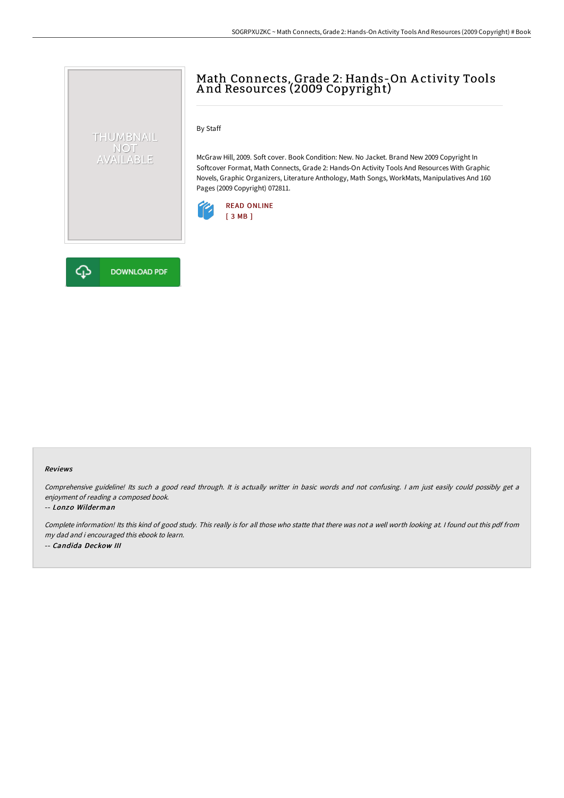# Math Connects, Grade 2: Hands-On A ctivity Tools A nd Resources (2009 Copyright)

By Staff

McGraw Hill, 2009. Soft cover. Book Condition: New. No Jacket. Brand New 2009 Copyright In Softcover Format, Math Connects, Grade 2: Hands-On Activity Tools And Resources With Graphic Novels, Graphic Organizers, Literature Anthology, Math Songs, WorkMats, Manipulatives And 160 Pages (2009 Copyright) 072811.





THUMBNAIL NOT<br>AVAILABLE

#### Reviews

Comprehensive guideline! Its such <sup>a</sup> good read through. It is actually writter in basic words and not confusing. <sup>I</sup> am just easily could possibly get <sup>a</sup> enjoyment of reading <sup>a</sup> composed book.

#### -- Lonzo Wilderman

Complete information! Its this kind of good study. This really is for all those who statte that there was not <sup>a</sup> well worth looking at. <sup>I</sup> found out this pdf from my dad and i encouraged this ebook to learn. -- Candida Deckow III